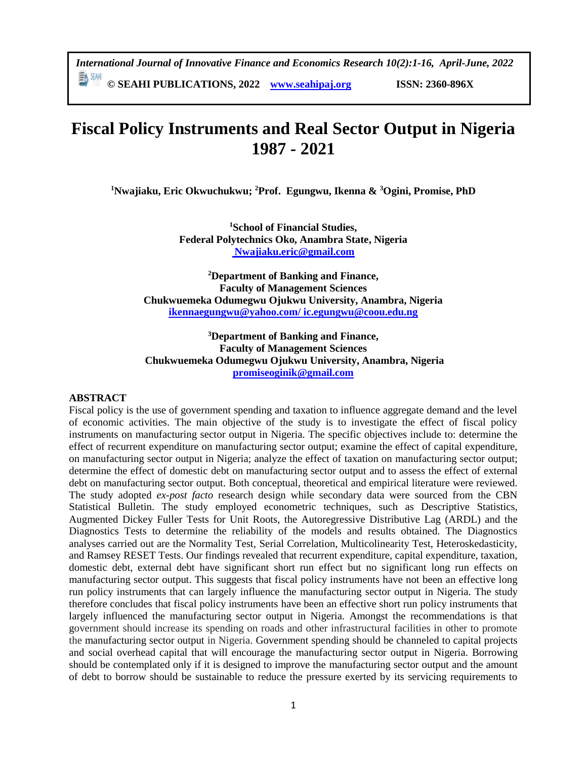*International Journal of Innovative Finance and Economics Research 10(2):1-16, April-June, 2022* **© SEAHI PUBLICATIONS, 2022 [www.seahipaj.org](http://www.seahipaj.org/) ISSN: 2360-896X**

# **Fiscal Policy Instruments and Real Sector Output in Nigeria 1987 - 2021**

**<sup>1</sup>Nwajiaku, Eric Okwuchukwu; <sup>2</sup>Prof. Egungwu, Ikenna & <sup>3</sup>Ogini, Promise, PhD**

**<sup>1</sup>School of Financial Studies, Federal Polytechnics Oko, Anambra State, Nigeria [Nwajiaku.eric@gmail.com](mailto:%20Nwajiaku.eric@gmail.com)**

**<sup>2</sup>Department of Banking and Finance, Faculty of Management Sciences Chukwuemeka Odumegwu Ojukwu University, Anambra, Nigeria [ikennaegungwu@yahoo.com/](mailto:ikennaegungwu@yahoo.com/) [ic.egungwu@coou.edu.ng](mailto:ic.egungwu@coou.edu.ng)**

**<sup>3</sup>Department of Banking and Finance, Faculty of Management Sciences Chukwuemeka Odumegwu Ojukwu University, Anambra, Nigeria [promiseoginik@gmail.com](mailto:promiseoginik@gmail.com)**

### **ABSTRACT**

Fiscal policy is the use of government spending and taxation to influence aggregate demand and the level of economic activities. The main objective of the study is to investigate the effect of fiscal policy instruments on manufacturing sector output in Nigeria. The specific objectives include to: determine the effect of recurrent expenditure on manufacturing sector output; examine the effect of capital expenditure, on manufacturing sector output in Nigeria; analyze the effect of taxation on manufacturing sector output; determine the effect of domestic debt on manufacturing sector output and to assess the effect of external debt on manufacturing sector output. Both conceptual, theoretical and empirical literature were reviewed. The study adopted *ex-post facto* research design while secondary data were sourced from the CBN Statistical Bulletin. The study employed econometric techniques, such as Descriptive Statistics, Augmented Dickey Fuller Tests for Unit Roots, the Autoregressive Distributive Lag (ARDL) and the Diagnostics Tests to determine the reliability of the models and results obtained. The Diagnostics analyses carried out are the Normality Test, Serial Correlation, Multicolinearity Test, Heteroskedasticity, and Ramsey RESET Tests. Our findings revealed that recurrent expenditure, capital expenditure, taxation, domestic debt, external debt have significant short run effect but no significant long run effects on manufacturing sector output. This suggests that fiscal policy instruments have not been an effective long run policy instruments that can largely influence the manufacturing sector output in Nigeria. The study therefore concludes that fiscal policy instruments have been an effective short run policy instruments that largely influenced the manufacturing sector output in Nigeria. Amongst the recommendations is that government should increase its spending on roads and other infrastructural facilities in other to promote the manufacturing sector output in Nigeria. Government spending should be channeled to capital projects and social overhead capital that will encourage the manufacturing sector output in Nigeria. Borrowing should be contemplated only if it is designed to improve the manufacturing sector output and the amount of debt to borrow should be sustainable to reduce the pressure exerted by its servicing requirements to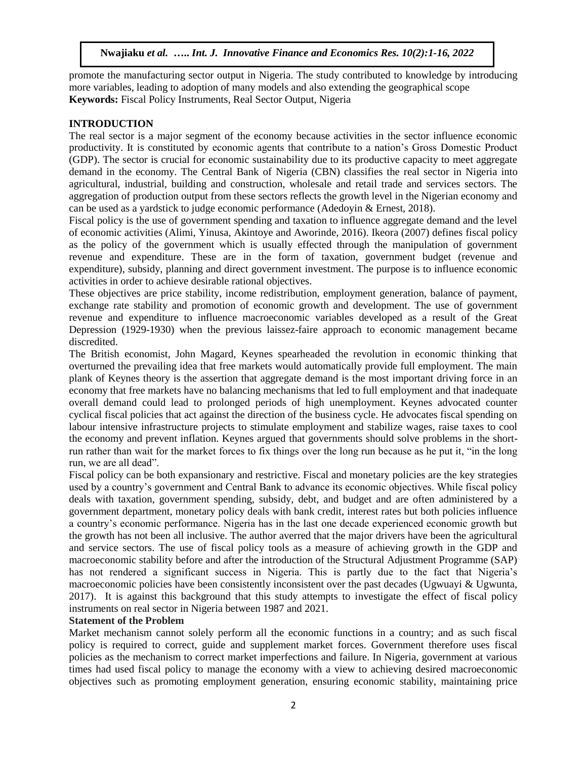promote the manufacturing sector output in Nigeria. The study contributed to knowledge by introducing more variables, leading to adoption of many models and also extending the geographical scope **Keywords:** Fiscal Policy Instruments, Real Sector Output, Nigeria

# **INTRODUCTION**

The real sector is a major segment of the economy because activities in the sector influence economic productivity. It is constituted by economic agents that contribute to a nation's Gross Domestic Product (GDP). The sector is crucial for economic sustainability due to its productive capacity to meet aggregate demand in the economy. The Central Bank of Nigeria (CBN) classifies the real sector in Nigeria into agricultural, industrial, building and construction, wholesale and retail trade and services sectors. The aggregation of production output from these sectors reflects the growth level in the Nigerian economy and can be used as a yardstick to judge economic performance (Adedoyin & Ernest, 2018).

Fiscal policy is the use of government spending and taxation to influence aggregate demand and the level of economic activities (Alimi, Yinusa, Akintoye and Aworinde, 2016). Ikeora (2007) defines fiscal policy as the policy of the government which is usually effected through the manipulation of government revenue and expenditure. These are in the form of taxation, government budget (revenue and expenditure), subsidy, planning and direct government investment. The purpose is to influence economic activities in order to achieve desirable rational objectives.

These objectives are price stability, income redistribution, employment generation, balance of payment, exchange rate stability and promotion of economic growth and development. The use of government revenue and expenditure to influence macroeconomic variables developed as a result of the Great Depression (1929-1930) when the previous laissez-faire approach to economic management became discredited.

The British economist, John Magard, Keynes spearheaded the revolution in economic thinking that overturned the prevailing idea that free markets would automatically provide full employment. The main plank of Keynes theory is the assertion that aggregate demand is the most important driving force in an economy that free markets have no balancing mechanisms that led to full employment and that inadequate overall demand could lead to prolonged periods of high unemployment. Keynes advocated counter cyclical fiscal policies that act against the direction of the business cycle. He advocates fiscal spending on labour intensive infrastructure projects to stimulate employment and stabilize wages, raise taxes to cool the economy and prevent inflation. Keynes argued that governments should solve problems in the shortrun rather than wait for the market forces to fix things over the long run because as he put it, "in the long run, we are all dead".

Fiscal policy can be both expansionary and restrictive. Fiscal and monetary policies are the key strategies used by a country's government and Central Bank to advance its economic objectives. While fiscal policy deals with taxation, government spending, subsidy, debt, and budget and are often administered by a government department, monetary policy deals with bank credit, interest rates but both policies influence a country's economic performance. Nigeria has in the last one decade experienced economic growth but the growth has not been all inclusive. The author averred that the major drivers have been the agricultural and service sectors. The use of fiscal policy tools as a measure of achieving growth in the GDP and macroeconomic stability before and after the introduction of the Structural Adjustment Programme (SAP) has not rendered a significant success in Nigeria. This is partly due to the fact that Nigeria's macroeconomic policies have been consistently inconsistent over the past decades (Ugwuayi & Ugwunta, 2017). It is against this background that this study attempts to investigate the effect of fiscal policy instruments on real sector in Nigeria between 1987 and 2021.

# **Statement of the Problem**

Market mechanism cannot solely perform all the economic functions in a country; and as such fiscal policy is required to correct, guide and supplement market forces. Government therefore uses fiscal policies as the mechanism to correct market imperfections and failure. In Nigeria, government at various times had used fiscal policy to manage the economy with a view to achieving desired macroeconomic objectives such as promoting employment generation, ensuring economic stability, maintaining price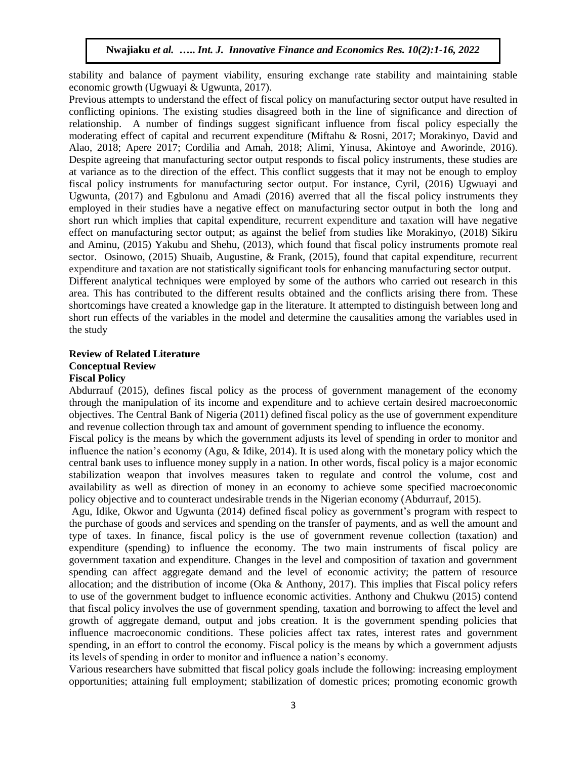stability and balance of payment viability, ensuring exchange rate stability and maintaining stable economic growth (Ugwuayi & Ugwunta, 2017).

Previous attempts to understand the effect of fiscal policy on manufacturing sector output have resulted in conflicting opinions. The existing studies disagreed both in the line of significance and direction of relationship. A number of findings suggest significant influence from fiscal policy especially the moderating effect of capital and recurrent expenditure (Miftahu & Rosni, 2017; Morakinyo, David and Alao, 2018; Apere 2017; Cordilia and Amah, 2018; Alimi, Yinusa, Akintoye and Aworinde, 2016). Despite agreeing that manufacturing sector output responds to fiscal policy instruments, these studies are at variance as to the direction of the effect. This conflict suggests that it may not be enough to employ fiscal policy instruments for manufacturing sector output. For instance, Cyril, (2016) Ugwuayi and Ugwunta, (2017) and Egbulonu and Amadi (2016) averred that all the fiscal policy instruments they employed in their studies have a negative effect on manufacturing sector output in both the long and short run which implies that capital expenditure, recurrent expenditure and taxation will have negative effect on manufacturing sector output; as against the belief from studies like Morakinyo, (2018) Sikiru and Aminu, (2015) Yakubu and Shehu, (2013), which found that fiscal policy instruments promote real sector. Osinowo, (2015) Shuaib, Augustine, & Frank, (2015), found that capital expenditure, recurrent expenditure and taxation are not statistically significant tools for enhancing manufacturing sector output. Different analytical techniques were employed by some of the authors who carried out research in this area. This has contributed to the different results obtained and the conflicts arising there from. These

shortcomings have created a knowledge gap in the literature. It attempted to distinguish between long and short run effects of the variables in the model and determine the causalities among the variables used in the study

### **Review of Related Literature Conceptual Review Fiscal Policy**

Abdurrauf (2015), defines fiscal policy as the process of government management of the economy through the manipulation of its income and expenditure and to achieve certain desired macroeconomic objectives. The Central Bank of Nigeria (2011) defined fiscal policy as the use of government expenditure and revenue collection through tax and amount of government spending to influence the economy.

Fiscal policy is the means by which the government adjusts its level of spending in order to monitor and influence the nation's economy (Agu, & Idike, 2014). It is used along with the monetary policy which the central bank uses to influence money supply in a nation. In other words, fiscal policy is a major economic stabilization weapon that involves measures taken to regulate and control the volume, cost and availability as well as direction of money in an economy to achieve some specified macroeconomic policy objective and to counteract undesirable trends in the Nigerian economy (Abdurrauf, 2015).

Agu, Idike, Okwor and Ugwunta (2014) defined fiscal policy as government's program with respect to the purchase of goods and services and spending on the transfer of payments, and as well the amount and type of taxes. In finance, fiscal policy is the use of government revenue collection (taxation) and expenditure (spending) to influence the economy. The two main instruments of fiscal policy are government taxation and expenditure. Changes in the level and composition of taxation and government spending can affect aggregate demand and the level of economic activity; the pattern of resource allocation; and the distribution of income (Oka & Anthony, 2017). This implies that Fiscal policy refers to use of the government budget to influence economic activities. Anthony and Chukwu (2015) contend that fiscal policy involves the use of government spending, taxation and borrowing to affect the level and growth of aggregate demand, output and jobs creation. It is the government spending policies that influence macroeconomic conditions. These policies affect tax rates, interest rates and government spending, in an effort to control the economy. Fiscal policy is the means by which a government adjusts its levels of spending in order to monitor and influence a nation's economy.

Various researchers have submitted that fiscal policy goals include the following: increasing employment opportunities; attaining full employment; stabilization of domestic prices; promoting economic growth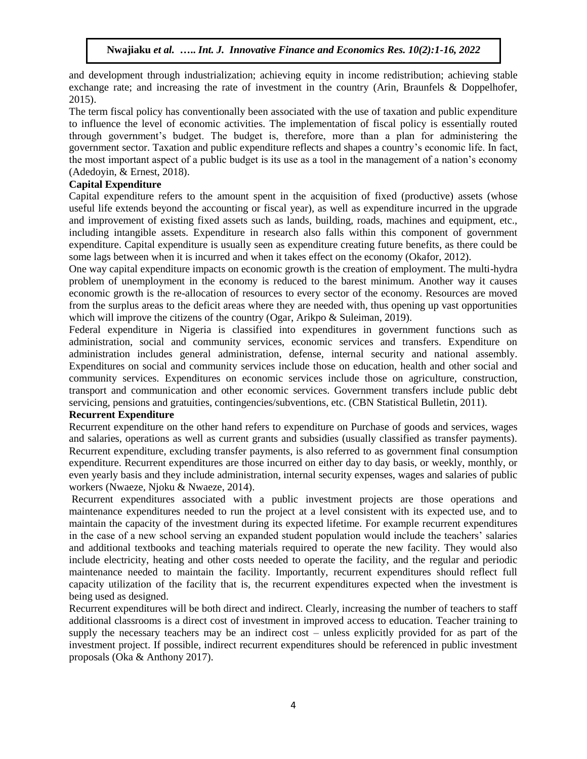and development through industrialization; achieving equity in income redistribution; achieving stable exchange rate; and increasing the rate of investment in the country (Arin, Braunfels & Doppelhofer, 2015).

The term fiscal policy has conventionally been associated with the use of taxation and public expenditure to influence the level of economic activities. The implementation of fiscal policy is essentially routed through government's budget. The budget is, therefore, more than a plan for administering the government sector. Taxation and public expenditure reflects and shapes a country's economic life. In fact, the most important aspect of a public budget is its use as a tool in the management of a nation's economy (Adedoyin, & Ernest, 2018).

# **Capital Expenditure**

Capital expenditure refers to the amount spent in the acquisition of fixed (productive) assets (whose useful life extends beyond the accounting or fiscal year), as well as expenditure incurred in the upgrade and improvement of existing fixed assets such as lands, building, roads, machines and equipment, etc., including intangible assets. Expenditure in research also falls within this component of government expenditure. Capital expenditure is usually seen as expenditure creating future benefits, as there could be some lags between when it is incurred and when it takes effect on the economy (Okafor, 2012).

One way capital expenditure impacts on economic growth is the creation of employment. The multi-hydra problem of unemployment in the economy is reduced to the barest minimum. Another way it causes economic growth is the re-allocation of resources to every sector of the economy. Resources are moved from the surplus areas to the deficit areas where they are needed with, thus opening up vast opportunities which will improve the citizens of the country (Ogar, Arikpo & Suleiman, 2019).

Federal expenditure in Nigeria is classified into expenditures in government functions such as administration, social and community services, economic services and transfers. Expenditure on administration includes general administration, defense, internal security and national assembly. Expenditures on social and community services include those on education, health and other social and community services. Expenditures on economic services include those on agriculture, construction, transport and communication and other economic services. Government transfers include public debt servicing, pensions and gratuities, contingencies/subventions, etc. (CBN Statistical Bulletin, 2011).

# **Recurrent Expenditure**

Recurrent expenditure on the other hand refers to expenditure on Purchase of goods and services, wages and salaries, operations as well as current grants and subsidies (usually classified as transfer payments). Recurrent expenditure, excluding transfer payments, is also referred to as government final consumption expenditure. Recurrent expenditures are those incurred on either day to day basis, or weekly, monthly, or even yearly basis and they include administration, internal security expenses, wages and salaries of public workers (Nwaeze, Njoku & Nwaeze, 2014).

Recurrent expenditures associated with a public investment projects are those operations and maintenance expenditures needed to run the project at a level consistent with its expected use, and to maintain the capacity of the investment during its expected lifetime. For example recurrent expenditures in the case of a new school serving an expanded student population would include the teachers' salaries and additional textbooks and teaching materials required to operate the new facility. They would also include electricity, heating and other costs needed to operate the facility, and the regular and periodic maintenance needed to maintain the facility. Importantly, recurrent expenditures should reflect full capacity utilization of the facility that is, the recurrent expenditures expected when the investment is being used as designed.

Recurrent expenditures will be both direct and indirect. Clearly, increasing the number of teachers to staff additional classrooms is a direct cost of investment in improved access to education. Teacher training to supply the necessary teachers may be an indirect cost – unless explicitly provided for as part of the investment project. If possible, indirect recurrent expenditures should be referenced in public investment proposals (Oka & Anthony 2017).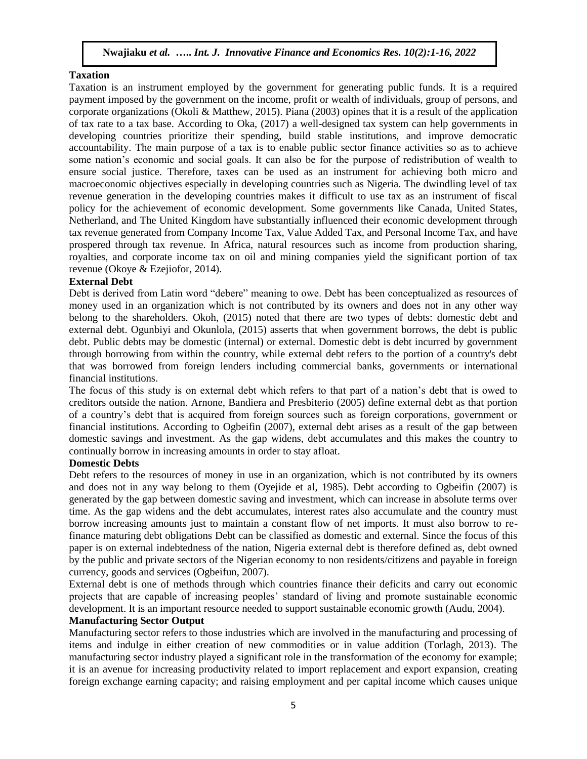### **Taxation**

Taxation is an instrument employed by the government for generating public funds. It is a required payment imposed by the government on the income, profit or wealth of individuals, group of persons, and corporate organizations (Okoli & Matthew, 2015). Piana (2003) opines that it is a result of the application of tax rate to a tax base. According to Oka, (2017) a well-designed tax system can help governments in developing countries prioritize their spending, build stable institutions, and improve democratic accountability. The main purpose of a tax is to enable public sector finance activities so as to achieve some nation's economic and social goals. It can also be for the purpose of redistribution of wealth to ensure social justice. Therefore, taxes can be used as an instrument for achieving both micro and macroeconomic objectives especially in developing countries such as Nigeria. The dwindling level of tax revenue generation in the developing countries makes it difficult to use tax as an instrument of fiscal policy for the achievement of economic development. Some governments like Canada, United States, Netherland, and The United Kingdom have substantially influenced their economic development through tax revenue generated from Company Income Tax, Value Added Tax, and Personal Income Tax, and have prospered through tax revenue. In Africa, natural resources such as income from production sharing, royalties, and corporate income tax on oil and mining companies yield the significant portion of tax revenue (Okoye & Ezejiofor, 2014).

### **External Debt**

Debt is derived from Latin word "debere" meaning to owe. Debt has been conceptualized as resources of money used in an organization which is not contributed by its owners and does not in any other way belong to the shareholders. Okoh, (2015) noted that there are two types of debts: domestic debt and external debt. Ogunbiyi and Okunlola, (2015) asserts that when government borrows, the debt is public debt. Public debts may be domestic (internal) or external. Domestic debt is debt incurred by government through borrowing from within the country, while external debt refers to the portion of a country's debt that was borrowed from foreign lenders including commercial banks, governments or international financial institutions.

The focus of this study is on external debt which refers to that part of a nation's debt that is owed to creditors outside the nation. Arnone, Bandiera and Presbiterio (2005) define external debt as that portion of a country's debt that is acquired from foreign sources such as foreign corporations, government or financial institutions. According to Ogbeifin (2007), external debt arises as a result of the gap between domestic savings and investment. As the gap widens, debt accumulates and this makes the country to continually borrow in increasing amounts in order to stay afloat.

### **Domestic Debts**

Debt refers to the resources of money in use in an organization, which is not contributed by its owners and does not in any way belong to them (Oyejide et al, 1985). Debt according to Ogbeifin (2007) is generated by the gap between domestic saving and investment, which can increase in absolute terms over time. As the gap widens and the debt accumulates, interest rates also accumulate and the country must borrow increasing amounts just to maintain a constant flow of net imports. It must also borrow to refinance maturing debt obligations Debt can be classified as domestic and external. Since the focus of this paper is on external indebtedness of the nation, Nigeria external debt is therefore defined as, debt owned by the public and private sectors of the Nigerian economy to non residents/citizens and payable in foreign currency, goods and services (Ogbeifun, 2007).

External debt is one of methods through which countries finance their deficits and carry out economic projects that are capable of increasing peoples' standard of living and promote sustainable economic development. It is an important resource needed to support sustainable economic growth (Audu, 2004).

### **Manufacturing Sector Output**

Manufacturing sector refers to those industries which are involved in the manufacturing and processing of items and indulge in either creation of new commodities or in value addition (Torlagh, 2013). The manufacturing sector industry played a significant role in the transformation of the economy for example; it is an avenue for increasing productivity related to import replacement and export expansion, creating foreign exchange earning capacity; and raising employment and per capital income which causes unique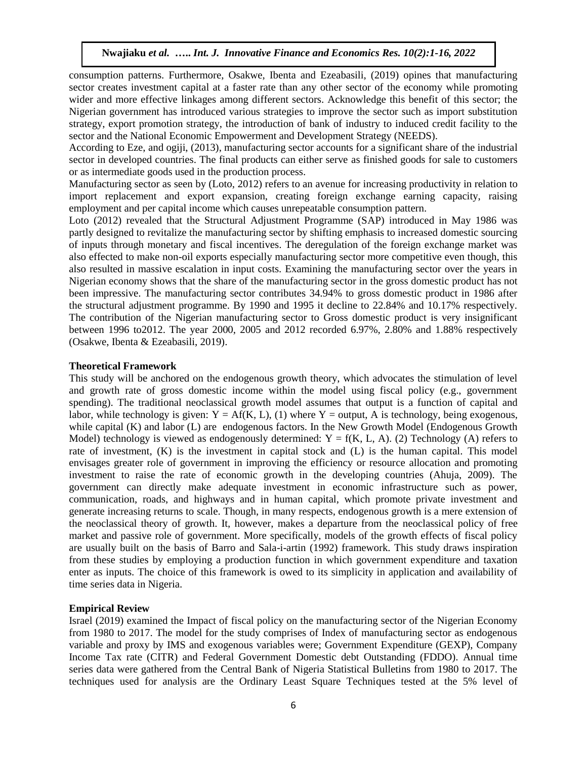consumption patterns. Furthermore, Osakwe, Ibenta and Ezeabasili, (2019) opines that manufacturing sector creates investment capital at a faster rate than any other sector of the economy while promoting wider and more effective linkages among different sectors. Acknowledge this benefit of this sector; the Nigerian government has introduced various strategies to improve the sector such as import substitution strategy, export promotion strategy, the introduction of bank of industry to induced credit facility to the sector and the National Economic Empowerment and Development Strategy (NEEDS).

According to Eze, and ogiji, (2013), manufacturing sector accounts for a significant share of the industrial sector in developed countries. The final products can either serve as finished goods for sale to customers or as intermediate goods used in the production process.

Manufacturing sector as seen by (Loto, 2012) refers to an avenue for increasing productivity in relation to import replacement and export expansion, creating foreign exchange earning capacity, raising employment and per capital income which causes unrepeatable consumption pattern.

Loto (2012) revealed that the Structural Adjustment Programme (SAP) introduced in May 1986 was partly designed to revitalize the manufacturing sector by shifting emphasis to increased domestic sourcing of inputs through monetary and fiscal incentives. The deregulation of the foreign exchange market was also effected to make non-oil exports especially manufacturing sector more competitive even though, this also resulted in massive escalation in input costs. Examining the manufacturing sector over the years in Nigerian economy shows that the share of the manufacturing sector in the gross domestic product has not been impressive. The manufacturing sector contributes 34.94% to gross domestic product in 1986 after the structural adjustment programme. By 1990 and 1995 it decline to 22.84% and 10.17% respectively. The contribution of the Nigerian manufacturing sector to Gross domestic product is very insignificant between 1996 to2012. The year 2000, 2005 and 2012 recorded 6.97%, 2.80% and 1.88% respectively (Osakwe, Ibenta & Ezeabasili, 2019).

### **Theoretical Framework**

This study will be anchored on the endogenous growth theory, which advocates the stimulation of level and growth rate of gross domestic income within the model using fiscal policy (e.g., government spending). The traditional neoclassical growth model assumes that output is a function of capital and labor, while technology is given:  $Y = Af(K, L)$ , (1) where Y = output, A is technology, being exogenous, while capital (K) and labor (L) are endogenous factors. In the New Growth Model (Endogenous Growth Model) technology is viewed as endogenously determined:  $Y = f(K, L, A)$ . (2) Technology (A) refers to rate of investment, (K) is the investment in capital stock and (L) is the human capital. This model envisages greater role of government in improving the efficiency or resource allocation and promoting investment to raise the rate of economic growth in the developing countries (Ahuja, 2009). The government can directly make adequate investment in economic infrastructure such as power, communication, roads, and highways and in human capital, which promote private investment and generate increasing returns to scale. Though, in many respects, endogenous growth is a mere extension of the neoclassical theory of growth. It, however, makes a departure from the neoclassical policy of free market and passive role of government. More specifically, models of the growth effects of fiscal policy are usually built on the basis of Barro and Sala-i-artin (1992) framework. This study draws inspiration from these studies by employing a production function in which government expenditure and taxation enter as inputs. The choice of this framework is owed to its simplicity in application and availability of time series data in Nigeria.

# **Empirical Review**

Israel (2019) examined the Impact of fiscal policy on the manufacturing sector of the Nigerian Economy from 1980 to 2017. The model for the study comprises of Index of manufacturing sector as endogenous variable and proxy by IMS and exogenous variables were; Government Expenditure (GEXP), Company Income Tax rate (CITR) and Federal Government Domestic debt Outstanding (FDDO). Annual time series data were gathered from the Central Bank of Nigeria Statistical Bulletins from 1980 to 2017. The techniques used for analysis are the Ordinary Least Square Techniques tested at the 5% level of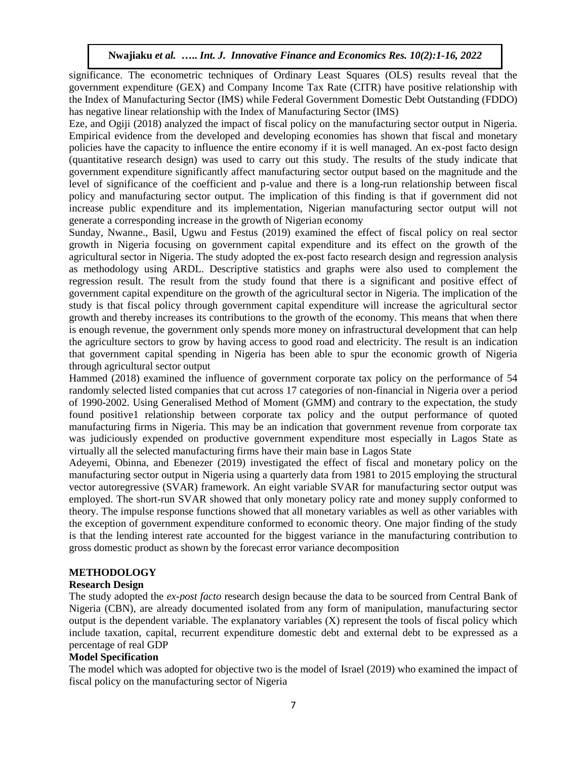significance. The econometric techniques of Ordinary Least Squares (OLS) results reveal that the government expenditure (GEX) and Company Income Tax Rate (CITR) have positive relationship with the Index of Manufacturing Sector (IMS) while Federal Government Domestic Debt Outstanding (FDDO) has negative linear relationship with the Index of Manufacturing Sector (IMS)

Eze, and Ogiji (2018) analyzed the impact of fiscal policy on the manufacturing sector output in Nigeria. Empirical evidence from the developed and developing economies has shown that fiscal and monetary policies have the capacity to influence the entire economy if it is well managed. An ex-post facto design (quantitative research design) was used to carry out this study. The results of the study indicate that government expenditure significantly affect manufacturing sector output based on the magnitude and the level of significance of the coefficient and p-value and there is a long-run relationship between fiscal policy and manufacturing sector output. The implication of this finding is that if government did not increase public expenditure and its implementation, Nigerian manufacturing sector output will not generate a corresponding increase in the growth of Nigerian economy

Sunday, Nwanne., Basil, Ugwu and Festus (2019) examined the effect of fiscal policy on real sector growth in Nigeria focusing on government capital expenditure and its effect on the growth of the agricultural sector in Nigeria. The study adopted the ex-post facto research design and regression analysis as methodology using ARDL. Descriptive statistics and graphs were also used to complement the regression result. The result from the study found that there is a significant and positive effect of government capital expenditure on the growth of the agricultural sector in Nigeria. The implication of the study is that fiscal policy through government capital expenditure will increase the agricultural sector growth and thereby increases its contributions to the growth of the economy. This means that when there is enough revenue, the government only spends more money on infrastructural development that can help the agriculture sectors to grow by having access to good road and electricity. The result is an indication that government capital spending in Nigeria has been able to spur the economic growth of Nigeria through agricultural sector output

Hammed (2018) examined the influence of government corporate tax policy on the performance of 54 randomly selected listed companies that cut across 17 categories of non-financial in Nigeria over a period of 1990-2002. Using Generalised Method of Moment (GMM) and contrary to the expectation, the study found positive1 relationship between corporate tax policy and the output performance of quoted manufacturing firms in Nigeria. This may be an indication that government revenue from corporate tax was judiciously expended on productive government expenditure most especially in Lagos State as virtually all the selected manufacturing firms have their main base in Lagos State

Adeyemi, Obinna, and Ebenezer (2019) investigated the effect of fiscal and monetary policy on the manufacturing sector output in Nigeria using a quarterly data from 1981 to 2015 employing the structural vector autoregressive (SVAR) framework. An eight variable SVAR for manufacturing sector output was employed. The short-run SVAR showed that only monetary policy rate and money supply conformed to theory. The impulse response functions showed that all monetary variables as well as other variables with the exception of government expenditure conformed to economic theory. One major finding of the study is that the lending interest rate accounted for the biggest variance in the manufacturing contribution to gross domestic product as shown by the forecast error variance decomposition

# **METHODOLOGY**

# **Research Design**

The study adopted the *ex-post facto* research design because the data to be sourced from Central Bank of Nigeria (CBN), are already documented isolated from any form of manipulation, manufacturing sector output is the dependent variable. The explanatory variables  $(X)$  represent the tools of fiscal policy which include taxation, capital, recurrent expenditure domestic debt and external debt to be expressed as a percentage of real GDP

# **Model Specification**

The model which was adopted for objective two is the model of Israel (2019) who examined the impact of fiscal policy on the manufacturing sector of Nigeria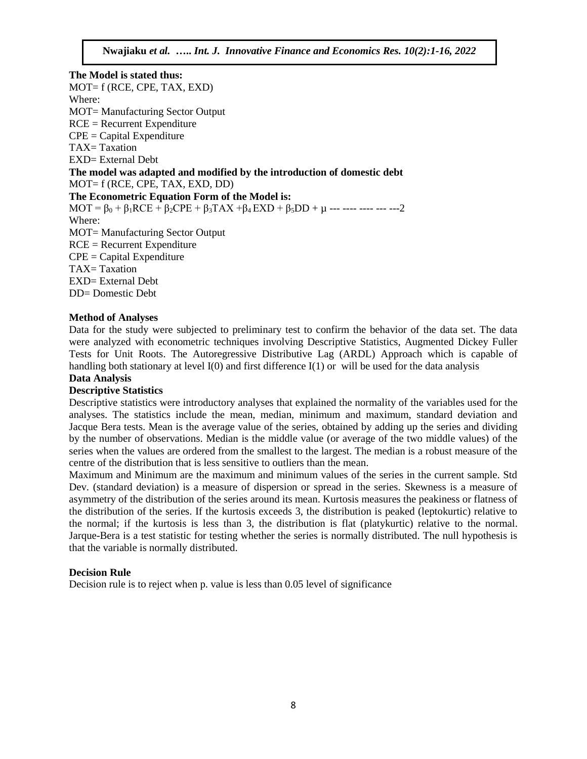**The Model is stated thus:** MOT= f (RCE, CPE, TAX, EXD) Where: MOT= Manufacturing Sector Output RCE = Recurrent Expenditure  $CPE = Capital Expenditure$ TAX=Taxation EXD= External Debt **The model was adapted and modified by the introduction of domestic debt** MOT= f (RCE, CPE, TAX, EXD, DD) **The Econometric Equation Form of the Model is:** MOT =  $\beta_0$  +  $\beta_1$ RCE +  $\beta_2$ CPE +  $\beta_3$ TAX + $\beta_4$ EXD +  $\beta_5$ DD +  $\mu$  --- ---- --- --- --- 2 Where: MOT= Manufacturing Sector Output  $RCE = Recurrent Expenditure$  $CPE = Capital Expenditure$ TAX=Taxation EXD= External Debt DD= Domestic Debt

# **Method of Analyses**

Data for the study were subjected to preliminary test to confirm the behavior of the data set. The data were analyzed with econometric techniques involving Descriptive Statistics, Augmented Dickey Fuller Tests for Unit Roots. The Autoregressive Distributive Lag (ARDL) Approach which is capable of handling both stationary at level I(0) and first difference I(1) or will be used for the data analysis

# **Data Analysis**

# **Descriptive Statistics**

Descriptive statistics were introductory analyses that explained the normality of the variables used for the analyses. The statistics include the mean, median, minimum and maximum, standard deviation and Jacque Bera tests. Mean is the average value of the series, obtained by adding up the series and dividing by the number of observations. Median is the middle value (or average of the two middle values) of the series when the values are ordered from the smallest to the largest. The median is a robust measure of the centre of the distribution that is less sensitive to outliers than the mean.

Maximum and Minimum are the maximum and minimum values of the series in the current sample. Std Dev. (standard deviation) is a measure of dispersion or spread in the series. Skewness is a measure of asymmetry of the distribution of the series around its mean. Kurtosis measures the peakiness or flatness of the distribution of the series. If the kurtosis exceeds 3, the distribution is peaked (leptokurtic) relative to the normal; if the kurtosis is less than 3, the distribution is flat (platykurtic) relative to the normal. Jarque-Bera is a test statistic for testing whether the series is normally distributed. The null hypothesis is that the variable is normally distributed.

### **Decision Rule**

Decision rule is to reject when p. value is less than 0.05 level of significance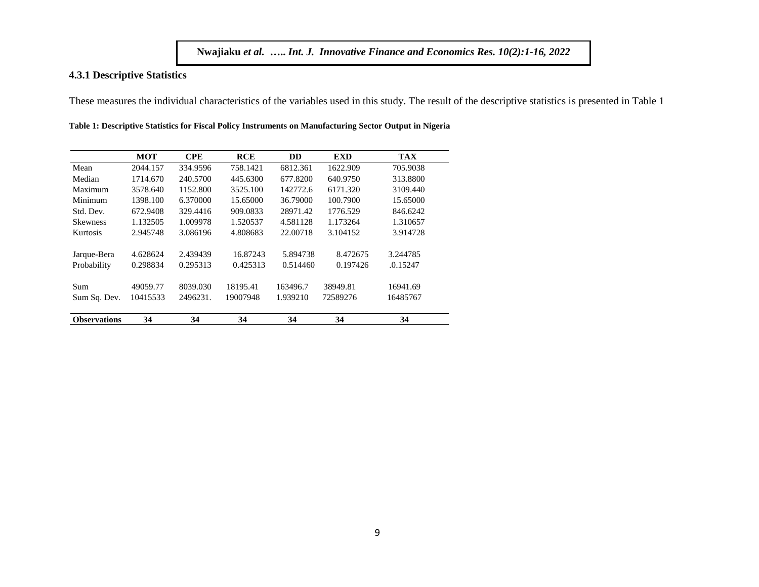### **4.3.1 Descriptive Statistics**

These measures the individual characteristics of the variables used in this study. The result of the descriptive statistics is presented in Table 1

|                     | <b>MOT</b> | <b>CPE</b> | <b>RCE</b> | <b>DD</b> | <b>EXD</b> | <b>TAX</b> |
|---------------------|------------|------------|------------|-----------|------------|------------|
| Mean                | 2044.157   | 334.9596   | 758.1421   | 6812.361  | 1622.909   | 705.9038   |
| Median              | 1714.670   | 240.5700   | 445.6300   | 677.8200  | 640.9750   | 313.8800   |
| Maximum             | 3578.640   | 1152.800   | 3525.100   | 142772.6  | 6171.320   | 3109.440   |
| Minimum             | 1398.100   | 6.370000   | 15.65000   | 36.79000  | 100.7900   | 15.65000   |
| Std. Dev.           | 672.9408   | 329.4416   | 909.0833   | 28971.42  | 1776.529   | 846.6242   |
| <b>Skewness</b>     | 1.132505   | 1.009978   | 1.520537   | 4.581128  | 1.173264   | 1.310657   |
| Kurtosis            | 2.945748   | 3.086196   | 4.808683   | 22.00718  | 3.104152   | 3.914728   |
|                     |            |            |            |           |            |            |
| Jarque-Bera         | 4.628624   | 2.439439   | 16.87243   | 5.894738  | 8.472675   | 3.244785   |
| Probability         | 0.298834   | 0.295313   | 0.425313   | 0.514460  | 0.197426   | .0.15247   |
| Sum                 | 49059.77   | 8039.030   | 18195.41   | 163496.7  | 38949.81   | 16941.69   |
| Sum Sq. Dev.        | 10415533   | 2496231.   | 19007948   | 1.939210  | 72589276   | 16485767   |
| <b>Observations</b> | 34         | 34         | 34         | 34        | 34         | 34         |

**Table 1: Descriptive Statistics for Fiscal Policy Instruments on Manufacturing Sector Output in Nigeria**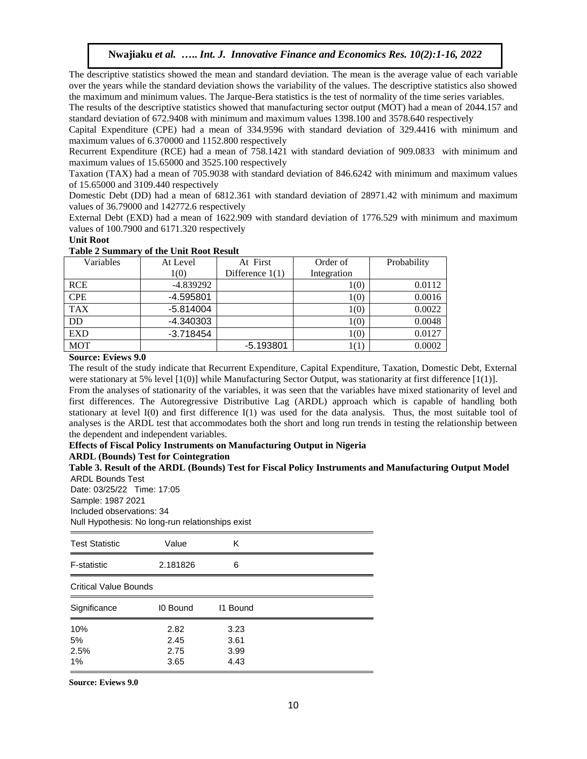The descriptive statistics showed the mean and standard deviation. The mean is the average value of each variable over the years while the standard deviation shows the variability of the values. The descriptive statistics also showed the maximum and minimum values. The Jarque-Bera statistics is the test of normality of the time series variables.

The results of the descriptive statistics showed that manufacturing sector output (MOT) had a mean of 2044.157 and standard deviation of 672.9408 with minimum and maximum values 1398.100 and 3578.640 respectively

Capital Expenditure (CPE) had a mean of 334.9596 with standard deviation of 329.4416 with minimum and maximum values of 6.370000 and 1152.800 respectively

Recurrent Expenditure (RCE) had a mean of 758.1421 with standard deviation of 909.0833 with minimum and maximum values of 15.65000 and 3525.100 respectively

Taxation (TAX) had a mean of 705.9038 with standard deviation of 846.6242 with minimum and maximum values of 15.65000 and 3109.440 respectively

Domestic Debt (DD) had a mean of 6812.361 with standard deviation of 28971.42 with minimum and maximum values of 36.79000 and 142772.6 respectively

External Debt (EXD) had a mean of 1622.909 with standard deviation of 1776.529 with minimum and maximum values of 100.7900 and 6171.320 respectively

#### **Unit Root**

#### **Table 2 Summary of the Unit Root Result**

| Variables  | At Level    | At First          | Order of    | Probability |
|------------|-------------|-------------------|-------------|-------------|
|            | 1(0)        | Difference $1(1)$ | Integration |             |
| <b>RCE</b> | -4.839292   |                   | 1(0)        | 0.0112      |
| <b>CPE</b> | $-4.595801$ |                   | 1(0)        | 0.0016      |
| <b>TAX</b> | $-5.814004$ |                   | 1(0)        | 0.0022      |
| DD         | -4.340303   |                   | 1(0)        | 0.0048      |
| <b>EXD</b> | $-3.718454$ |                   | 1(0)        | 0.0127      |
| <b>MOT</b> |             | $-5.193801$       |             | 0.0002      |

### **Source: Eviews 9.0**

The result of the study indicate that Recurrent Expenditure, Capital Expenditure, Taxation, Domestic Debt, External were stationary at 5% level [1(0)] while Manufacturing Sector Output, was stationarity at first difference [1(1)].

From the analyses of stationarity of the variables, it was seen that the variables have mixed stationarity of level and first differences. The Autoregressive Distributive Lag (ARDL) approach which is capable of handling both stationary at level I(0) and first difference I(1) was used for the data analysis. Thus, the most suitable tool of analyses is the ARDL test that accommodates both the short and long run trends in testing the relationship between the dependent and independent variables.

### **Effects of Fiscal Policy Instruments on Manufacturing Output in Nigeria**

**ARDL (Bounds) Test for Cointegration**

**Table 3. Result of the ARDL (Bounds) Test for Fiscal Policy Instruments and Manufacturing Output Model**  ARDL Bounds Test Date: 03/25/22 Time: 17:05

Sample: 1987 2021 Included observations: 34 Null Hypothesis: No long-run relationships exist

| <b>Test Statistic</b>   | Value                        | Κ                            |  |
|-------------------------|------------------------------|------------------------------|--|
| F-statistic             | 2.181826                     | 6                            |  |
| Critical Value Bounds   |                              |                              |  |
| Significance            | <b>IO Bound</b>              | 11 Bound                     |  |
| 10%<br>5%<br>2.5%<br>1% | 2.82<br>2.45<br>2.75<br>3.65 | 3.23<br>3.61<br>3.99<br>4.43 |  |

**Source: Eviews 9.0**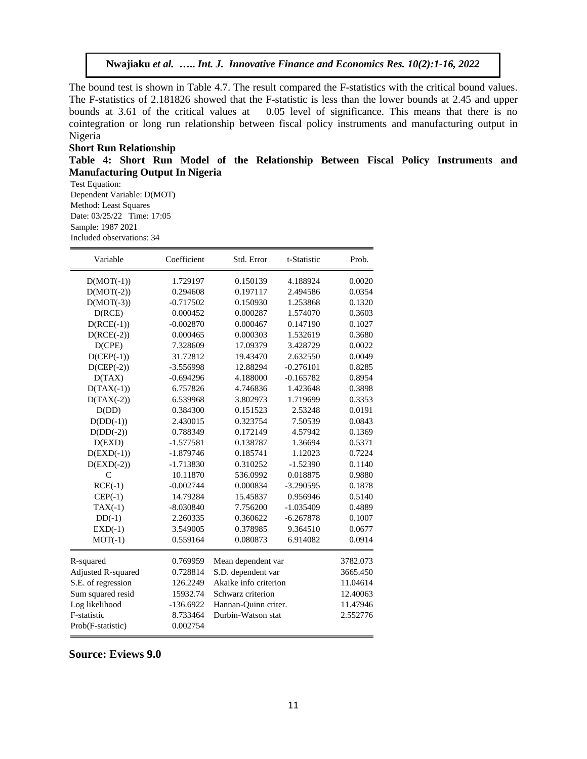The bound test is shown in Table 4.7. The result compared the F-statistics with the critical bound values. The F-statistics of 2.181826 showed that the F-statistic is less than the lower bounds at 2.45 and upper bounds at 3.61 of the critical values at 0.05 level of significance. This means that there is no cointegration or long run relationship between fiscal policy instruments and manufacturing output in Nigeria

### **Short Run Relationship**

**Table 4: Short Run Model of the Relationship Between Fiscal Policy Instruments and Manufacturing Output In Nigeria**

Test Equation: Dependent Variable: D(MOT) Method: Least Squares Date: 03/25/22 Time: 17:05 Sample: 1987 2021 Included observations: 34

| Variable           | Coefficient | Std. Error            | t-Statistic | Prob.    |
|--------------------|-------------|-----------------------|-------------|----------|
| $D(MOT(-1))$       | 1.729197    | 0.150139              | 4.188924    | 0.0020   |
| $D(MOT(-2))$       | 0.294608    | 0.197117              | 2.494586    | 0.0354   |
| $D(MOT(-3))$       | $-0.717502$ | 0.150930              | 1.253868    | 0.1320   |
| D(ACE)             | 0.000452    | 0.000287              | 1.574070    | 0.3603   |
| $D(RCE(-1))$       | $-0.002870$ | 0.000467              | 0.147190    | 0.1027   |
| $D(RCE(-2))$       | 0.000465    | 0.000303              | 1.532619    | 0.3680   |
| D(CPE)             | 7.328609    | 17.09379              | 3.428729    | 0.0022   |
| $D(CEP(-1))$       | 31.72812    | 19.43470              | 2.632550    | 0.0049   |
| $D(CEP(-2))$       | -3.556998   | 12.88294              | $-0.276101$ | 0.8285   |
| D(TAX)             | $-0.694296$ | 4.188000              | $-0.165782$ | 0.8954   |
| $D(TAX(-1))$       | 6.757826    | 4.746836              | 1.423648    | 0.3898   |
| $D(TAX(-2))$       | 6.539968    | 3.802973              | 1.719699    | 0.3353   |
| D(DD)              | 0.384300    | 0.151523              | 2.53248     | 0.0191   |
| $D(DD(-1))$        | 2.430015    | 0.323754              | 7.50539     | 0.0843   |
| $D(DD(-2))$        | 0.788349    | 0.172149              | 4.57942     | 0.1369   |
| D(EXD)             | $-1.577581$ | 0.138787              | 1.36694     | 0.5371   |
| $D(EXD(-1))$       | $-1.879746$ | 0.185741              | 1.12023     | 0.7224   |
| $D(EXD(-2))$       | $-1.713830$ | 0.310252              | $-1.52390$  | 0.1140   |
| $\mathcal{C}$      | 10.11870    | 536.0992              | 0.018875    | 0.9880   |
| $RCE(-1)$          | $-0.002744$ | 0.000834              | $-3.290595$ | 0.1878   |
| $CEP(-1)$          | 14.79284    | 15.45837              | 0.956946    | 0.5140   |
| $TAX(-1)$          | $-8.030840$ | 7.756200              | $-1.035409$ | 0.4889   |
| $DD(-1)$           | 2.260335    | 0.360622              | $-6.267878$ | 0.1007   |
| $EXD(-1)$          | 3.549005    | 0.378985              | 9.364510    | 0.0677   |
| $MOT(-1)$          | 0.559164    | 0.080873              | 6.914082    | 0.0914   |
| R-squared          | 0.769959    | Mean dependent var    |             | 3782.073 |
| Adjusted R-squared | 0.728814    | S.D. dependent var    |             | 3665.450 |
| S.E. of regression | 126.2249    | Akaike info criterion |             | 11.04614 |
| Sum squared resid  | 15932.74    | Schwarz criterion     |             | 12.40063 |
| Log likelihood     | $-136.6922$ | Hannan-Quinn criter.  |             | 11.47946 |
| F-statistic        | 8.733464    | Durbin-Watson stat    |             | 2.552776 |
| Prob(F-statistic)  | 0.002754    |                       |             |          |

**Source: Eviews 9.0**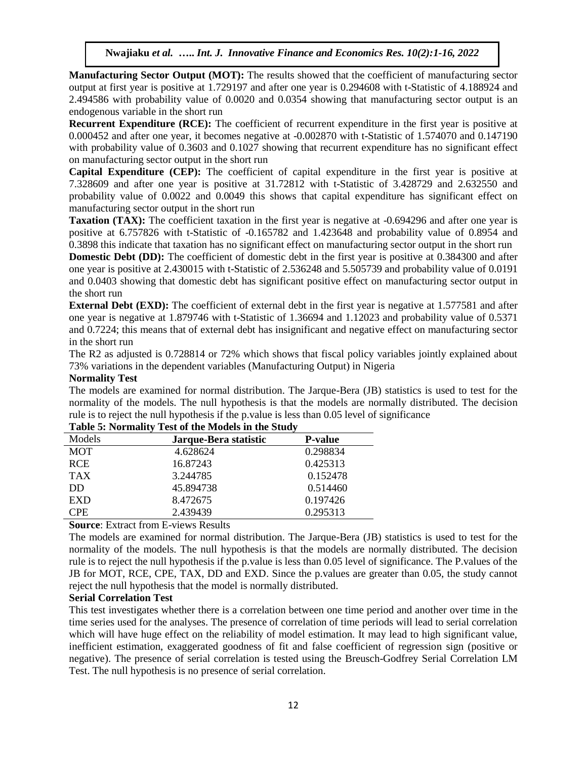**Manufacturing Sector Output (MOT):** The results showed that the coefficient of manufacturing sector output at first year is positive at 1.729197 and after one year is 0.294608 with t-Statistic of 4.188924 and 2.494586 with probability value of 0.0020 and 0.0354 showing that manufacturing sector output is an endogenous variable in the short run

**Recurrent Expenditure (RCE):** The coefficient of recurrent expenditure in the first year is positive at 0.000452 and after one year, it becomes negative at -0.002870 with t-Statistic of 1.574070 and 0.147190 with probability value of 0.3603 and 0.1027 showing that recurrent expenditure has no significant effect on manufacturing sector output in the short run

**Capital Expenditure (CEP):** The coefficient of capital expenditure in the first year is positive at 7.328609 and after one year is positive at 31.72812 with t-Statistic of 3.428729 and 2.632550 and probability value of 0.0022 and 0.0049 this shows that capital expenditure has significant effect on manufacturing sector output in the short run

**Taxation** (TAX): The coefficient taxation in the first year is negative at -0.694296 and after one year is positive at 6.757826 with t-Statistic of -0.165782 and 1.423648 and probability value of 0.8954 and 0.3898 this indicate that taxation has no significant effect on manufacturing sector output in the short run

**Domestic Debt (DD):** The coefficient of domestic debt in the first year is positive at 0.384300 and after one year is positive at 2.430015 with t-Statistic of 2.536248 and 5.505739 and probability value of 0.0191 and 0.0403 showing that domestic debt has significant positive effect on manufacturing sector output in the short run

**External Debt** (**EXD**): The coefficient of external debt in the first year is negative at 1.577581 and after one year is negative at 1.879746 with t-Statistic of 1.36694 and 1.12023 and probability value of 0.5371 and 0.7224; this means that of external debt has insignificant and negative effect on manufacturing sector in the short run

The R2 as adjusted is 0.728814 or 72% which shows that fiscal policy variables jointly explained about 73% variations in the dependent variables (Manufacturing Output) in Nigeria

### **Normality Test**

The models are examined for normal distribution. The Jarque-Bera (JB) statistics is used to test for the normality of the models. The null hypothesis is that the models are normally distributed. The decision rule is to reject the null hypothesis if the p.value is less than 0.05 level of significance

| Models     | Jarque-Bera statistic | <b>P-value</b> |
|------------|-----------------------|----------------|
| <b>MOT</b> | 4.628624              | 0.298834       |
| <b>RCE</b> | 16.87243              | 0.425313       |
| <b>TAX</b> | 3.244785              | 0.152478       |
| DD         | 45.894738             | 0.514460       |
| <b>EXD</b> | 8.472675              | 0.197426       |
| CPE.       | 2.439439              | 0.295313       |

# **Table 5: Normality Test of the Models in the Study**

**Source**: Extract from E-views Results

The models are examined for normal distribution. The Jarque-Bera (JB) statistics is used to test for the normality of the models. The null hypothesis is that the models are normally distributed. The decision rule is to reject the null hypothesis if the p.value is less than 0.05 level of significance. The P.values of the JB for MOT, RCE, CPE, TAX, DD and EXD. Since the p.values are greater than 0.05, the study cannot reject the null hypothesis that the model is normally distributed.

# **Serial Correlation Test**

This test investigates whether there is a correlation between one time period and another over time in the time series used for the analyses. The presence of correlation of time periods will lead to serial correlation which will have huge effect on the reliability of model estimation. It may lead to high significant value, inefficient estimation, exaggerated goodness of fit and false coefficient of regression sign (positive or negative). The presence of serial correlation is tested using the Breusch-Godfrey Serial Correlation LM Test. The null hypothesis is no presence of serial correlation.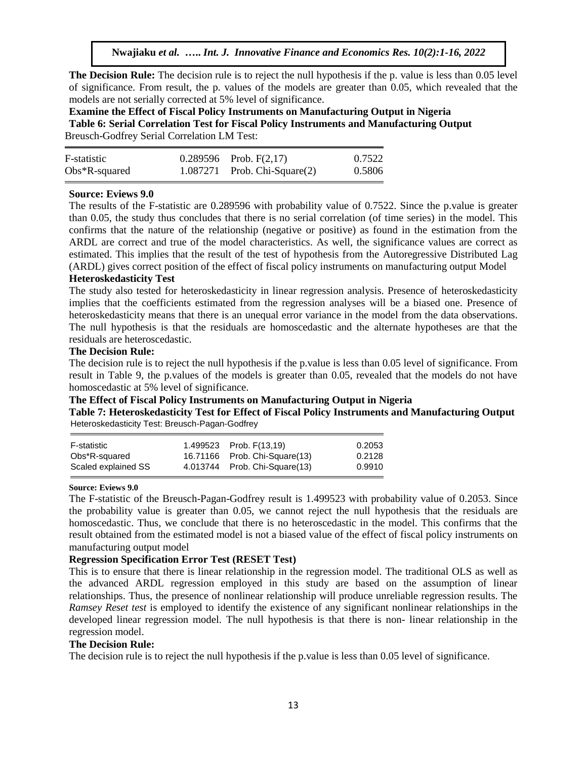**The Decision Rule:** The decision rule is to reject the null hypothesis if the p. value is less than 0.05 level of significance. From result, the p. values of the models are greater than 0.05, which revealed that the models are not serially corrected at 5% level of significance.

**Examine the Effect of Fiscal Policy Instruments on Manufacturing Output in Nigeria Table 6: Serial Correlation Test for Fiscal Policy Instruments and Manufacturing Output**  Breusch-Godfrey Serial Correlation LM Test:

| F-statistic      | $0.289596$ Prob. F(2,17)          | 0.7522 |
|------------------|-----------------------------------|--------|
| $Obs*R$ -squared | $1.087271$ Prob. Chi-Square $(2)$ | 0.5806 |

# **Source: Eviews 9.0**

The results of the F-statistic are 0.289596 with probability value of 0.7522. Since the p.value is greater than 0.05, the study thus concludes that there is no serial correlation (of time series) in the model. This confirms that the nature of the relationship (negative or positive) as found in the estimation from the ARDL are correct and true of the model characteristics. As well, the significance values are correct as estimated. This implies that the result of the test of hypothesis from the Autoregressive Distributed Lag (ARDL) gives correct position of the effect of fiscal policy instruments on manufacturing output Model

### **Heteroskedasticity Test**

The study also tested for heteroskedasticity in linear regression analysis. Presence of heteroskedasticity implies that the coefficients estimated from the regression analyses will be a biased one. Presence of heteroskedasticity means that there is an unequal error variance in the model from the data observations. The null hypothesis is that the residuals are homoscedastic and the alternate hypotheses are that the residuals are heteroscedastic.

### **The Decision Rule:**

The decision rule is to reject the null hypothesis if the p.value is less than 0.05 level of significance. From result in Table 9, the p.values of the models is greater than 0.05, revealed that the models do not have homoscedastic at 5% level of significance.

# **The Effect of Fiscal Policy Instruments on Manufacturing Output in Nigeria**

**Table 7: Heteroskedasticity Test for Effect of Fiscal Policy Instruments and Manufacturing Output**  Heteroskedasticity Test: Breusch-Pagan-Godfrey

| F-statistic         | 1.499523 Prob. F(13,19)       | 0.2053 |
|---------------------|-------------------------------|--------|
| Obs*R-squared       | 16.71166 Prob. Chi-Square(13) | 0.2128 |
| Scaled explained SS | 4.013744 Prob. Chi-Square(13) | 0.9910 |

### **Source: Eviews 9.0**

The F-statistic of the Breusch-Pagan-Godfrey result is 1.499523 with probability value of 0.2053. Since the probability value is greater than 0.05, we cannot reject the null hypothesis that the residuals are homoscedastic. Thus, we conclude that there is no heteroscedastic in the model. This confirms that the result obtained from the estimated model is not a biased value of the effect of fiscal policy instruments on manufacturing output model

# **Regression Specification Error Test (RESET Test)**

This is to ensure that there is linear relationship in the regression model. The traditional OLS as well as the advanced ARDL regression employed in this study are based on the assumption of linear relationships. Thus, the presence of nonlinear relationship will produce unreliable regression results. The *Ramsey Reset test* is employed to identify the existence of any significant nonlinear relationships in the developed linear regression model. The null hypothesis is that there is non- linear relationship in the regression model.

### **The Decision Rule:**

The decision rule is to reject the null hypothesis if the p.value is less than 0.05 level of significance.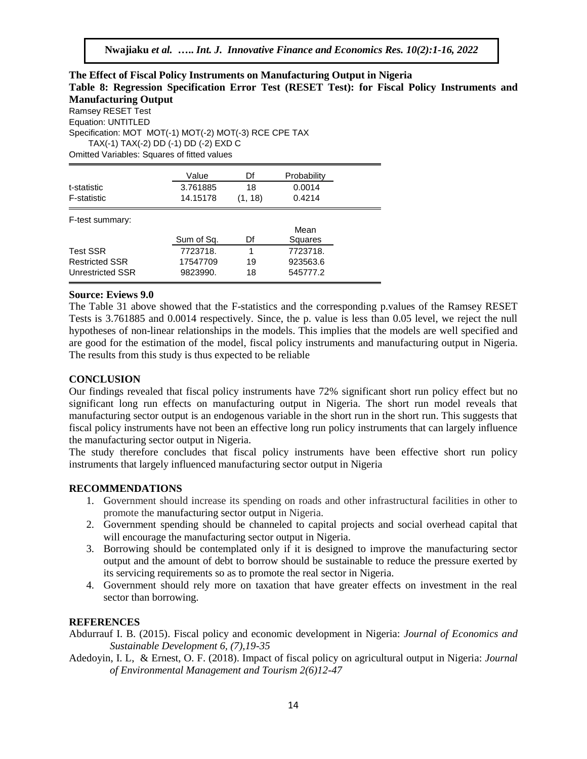# **The Effect of Fiscal Policy Instruments on Manufacturing Output in Nigeria Table 8: Regression Specification Error Test (RESET Test): for Fiscal Policy Instruments and Manufacturing Output**

Ramsey RESET Test Equation: UNTITLED Specification: MOT MOT(-1) MOT(-2) MOT(-3) RCE CPE TAX TAX(-1) TAX(-2) DD (-1) DD (-2) EXD C Omitted Variables: Squares of fitted values

|                       | Value      | Df      | Probability |
|-----------------------|------------|---------|-------------|
| t-statistic           | 3.761885   | 18      | 0.0014      |
| <b>F-statistic</b>    | 14.15178   | (1, 18) | 0.4214      |
| F-test summary:       |            |         | Mean        |
|                       | Sum of Sq. | Df      | Squares     |
| <b>Test SSR</b>       | 7723718.   | 1       | 7723718.    |
| <b>Restricted SSR</b> | 17547709   | 19      | 923563.6    |
| Unrestricted SSR      | 9823990.   | 18      | 545777.2    |

### **Source: Eviews 9.0**

The Table 31 above showed that the F-statistics and the corresponding p.values of the Ramsey RESET Tests is 3.761885 and 0.0014 respectively. Since, the p. value is less than 0.05 level, we reject the null hypotheses of non-linear relationships in the models. This implies that the models are well specified and are good for the estimation of the model, fiscal policy instruments and manufacturing output in Nigeria. The results from this study is thus expected to be reliable

# **CONCLUSION**

Our findings revealed that fiscal policy instruments have 72% significant short run policy effect but no significant long run effects on manufacturing output in Nigeria. The short run model reveals that manufacturing sector output is an endogenous variable in the short run in the short run. This suggests that fiscal policy instruments have not been an effective long run policy instruments that can largely influence the manufacturing sector output in Nigeria.

The study therefore concludes that fiscal policy instruments have been effective short run policy instruments that largely influenced manufacturing sector output in Nigeria

# **RECOMMENDATIONS**

- 1. Government should increase its spending on roads and other infrastructural facilities in other to promote the manufacturing sector output in Nigeria.
- 2. Government spending should be channeled to capital projects and social overhead capital that will encourage the manufacturing sector output in Nigeria.
- 3. Borrowing should be contemplated only if it is designed to improve the manufacturing sector output and the amount of debt to borrow should be sustainable to reduce the pressure exerted by its servicing requirements so as to promote the real sector in Nigeria.
- 4. Government should rely more on taxation that have greater effects on investment in the real sector than borrowing.

# **REFERENCES**

Abdurrauf I. B. (2015). Fiscal policy and economic development in Nigeria: *Journal of Economics and Sustainable Development 6, (7),19-35*

Adedoyin, I. L, & Ernest, O. F. (2018). Impact of fiscal policy on agricultural output in Nigeria: *Journal of Environmental Management and Tourism 2(6)12-47*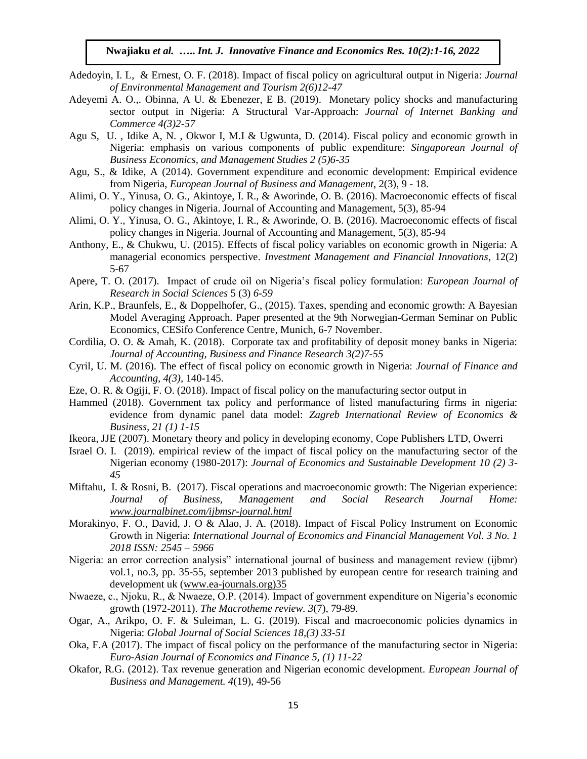- Adedoyin, I. L, & Ernest, O. F. (2018). Impact of fiscal policy on agricultural output in Nigeria: *Journal of Environmental Management and Tourism 2(6)12-47*
- Adeyemi A. O.,. Obinna, A U. & Ebenezer, E B. (2019). Monetary policy shocks and manufacturing sector output in Nigeria: A Structural Var-Approach: *Journal of Internet Banking and Commerce 4(3)2-57*
- Agu S, U. , Idike A, N. , Okwor I, M.I & Ugwunta, D. (2014). Fiscal policy and economic growth in Nigeria: emphasis on various components of public expenditure: *Singaporean Journal of Business Economics, and Management Studies 2 (5)6-35*
- Agu, S., & Idike, A (2014). Government expenditure and economic development: Empirical evidence from Nigeria, *European Journal of Business and Management*, 2(3), 9 - 18.
- Alimi, O. Y., Yinusa, O. G., Akintoye, I. R., & Aworinde, O. B. (2016). Macroeconomic effects of fiscal policy changes in Nigeria. Journal of Accounting and Management, 5(3), 85-94
- Alimi, O. Y., Yinusa, O. G., Akintoye, I. R., & Aworinde, O. B. (2016). Macroeconomic effects of fiscal policy changes in Nigeria. Journal of Accounting and Management, 5(3), 85-94
- Anthony, E., & Chukwu, U. (2015). Effects of fiscal policy variables on economic growth in Nigeria: A managerial economics perspective. *Investment Management and Financial Innovations*, 12(2) 5-67
- Apere, T. O. (2017). Impact of crude oil on Nigeria's fiscal policy formulation: *European Journal of Research in Social Sciences* 5 (3) *6-59*
- Arin, K.P., Braunfels, E., & Doppelhofer, G., (2015). Taxes, spending and economic growth: A Bayesian Model Averaging Approach. Paper presented at the 9th Norwegian-German Seminar on Public Economics, CESifo Conference Centre, Munich, 6-7 November.
- Cordilia, O. O. & Amah, K. (2018). Corporate tax and profitability of deposit money banks in Nigeria: *Journal of Accounting, Business and Finance Research 3(2)7-55*
- Cyril, U. M. (2016). The effect of fiscal policy on economic growth in Nigeria: *Journal of Finance and Accounting, 4(3),* 140-145.
- Eze, O. R. & Ogiji, F. O. (2018). Impact of fiscal policy on the manufacturing sector output in
- Hammed (2018). Government tax policy and performance of listed manufacturing firms in nigeria: evidence from dynamic panel data model: *Zagreb International Review of Economics & Business, 21 (1) 1-15*
- Ikeora, JJE (2007). Monetary theory and policy in developing economy, Cope Publishers LTD, Owerri
- Israel O. I. (2019). empirical review of the impact of fiscal policy on the manufacturing sector of the Nigerian economy (1980-2017): *Journal of Economics and Sustainable Development 10 (2) 3- 45*
- Miftahu, I. & Rosni, B. (2017). Fiscal operations and macroeconomic growth: The Nigerian experience: *Journal of Business, Management and Social Research Journal Home: [www.journalbinet.com/ijbmsr-journal.html](http://www.journalbinet.com/ijbmsr-journal.html)*
- Morakinyo, F. O., David, J. O & Alao, J. A. (2018). Impact of Fiscal Policy Instrument on Economic Growth in Nigeria: *International Journal of Economics and Financial Management Vol. 3 No. 1 2018 ISSN: 2545 – 5966*
- Nigeria: an error correction analysis" international journal of business and management review (ijbmr) vol.1, no.3, pp. 35-55, september 2013 published by european centre for research training and development uk [\(www.ea-journals.org\)35](http://www.ea-journals.org)35/)
- Nwaeze, c., Njoku, R., & Nwaeze, O.P. (2014). Impact of government expenditure on Nigeria's economic growth (1972-2011). *The Macrotheme review. 3*(7), 79-89.
- Ogar, A., Arikpo, O. F. & Suleiman, L. G. (2019). Fiscal and macroeconomic policies dynamics in Nigeria: *Global Journal of Social Sciences 18,(3) 33-51*
- Oka, F.A (2017). The impact of fiscal policy on the performance of the manufacturing sector in Nigeria: *Euro-Asian Journal of Economics and Finance 5, (1) 11-22*
- Okafor, R.G. (2012). Tax revenue generation and Nigerian economic development. *European Journal of Business and Management. 4*(19), 49-56